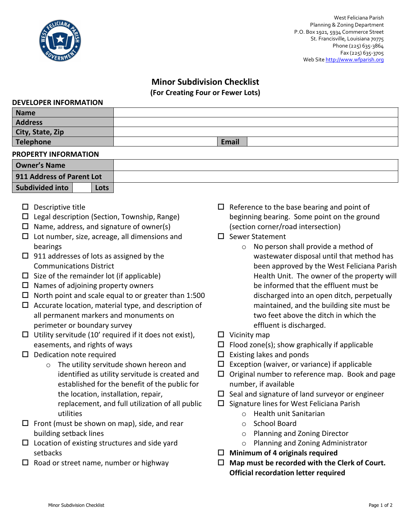

## **Minor Subdivision Checklist**

**(For Creating Four or Fewer Lots)**

#### **DEVELOPER INFORMATION**

| <b>Name</b>      |              |
|------------------|--------------|
| <b>Address</b>   |              |
| City, State, Zip |              |
| Telephone        | <b>Email</b> |

### **PROPERTY INFORMATION**

| <b>Owner's Name</b>       |  |      |  |
|---------------------------|--|------|--|
| 911 Address of Parent Lot |  |      |  |
| Subdivided into           |  | Lots |  |

- $\square$  Descriptive title
- $\Box$  Legal description (Section, Township, Range)
- $\Box$  Name, address, and signature of owner(s)
- $\Box$  Lot number, size, acreage, all dimensions and bearings
- $\Box$  911 addresses of lots as assigned by the Communications District
- $\Box$  Size of the remainder lot (if applicable)
- $\Box$  Names of adjoining property owners
- $\Box$  North point and scale equal to or greater than 1:500
- $\Box$  Accurate location, material type, and description of all permanent markers and monuments on perimeter or boundary survey
- $\Box$  Utility servitude (10' required if it does not exist), easements, and rights of ways
- $\square$  Dedication note required
	- o The utility servitude shown hereon and identified as utility servitude is created and established for the benefit of the public for the location, installation, repair, replacement, and full utilization of all public utilities
- $\Box$  Front (must be shown on map), side, and rear building setback lines
- $\square$  Location of existing structures and side yard setbacks
- $\Box$  Road or street name, number or highway
- $\Box$  Reference to the base bearing and point of beginning bearing. Some point on the ground (section corner/road intersection)
- $\square$  Sewer Statement
	- o No person shall provide a method of wastewater disposal until that method has been approved by the West Feliciana Parish Health Unit. The owner of the property will be informed that the effluent must be discharged into an open ditch, perpetually maintained, and the building site must be two feet above the ditch in which the effluent is discharged.
- $\Box$  Vicinity map
- $\Box$  Flood zone(s); show graphically if applicable
- $\square$  Existing lakes and ponds
- $\Box$  Exception (waiver, or variance) if applicable
- $\Box$  Original number to reference map. Book and page number, if available
- $\square$  Seal and signature of land surveyor or engineer
- $\square$  Signature lines for West Feliciana Parish
	- o Health unit Sanitarian
	- o School Board
	- o Planning and Zoning Director
	- o Planning and Zoning Administrator
- **Minimum of 4 originals required**
- **Map must be recorded with the Clerk of Court. Official recordation letter required**